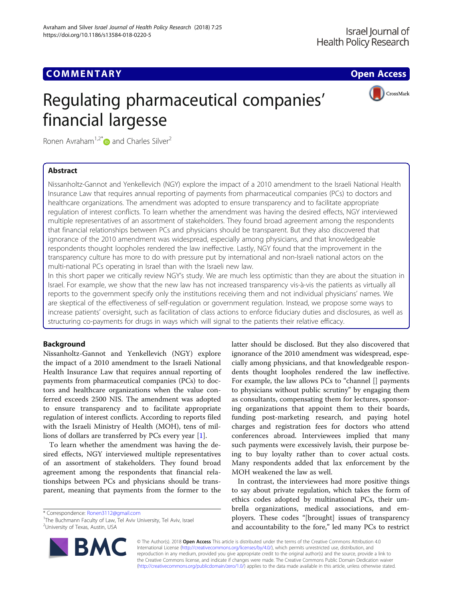## **COMMENTARY COMMENTARY COMMENTARY**



# Regulating pharmaceutical companies' financial largesse

Ronen Avraham<sup>1,2\*</sup> $\bullet$  and Charles Silver<sup>2</sup>

## Abstract

Nissanholtz-Gannot and Yenkellevich (NGY) explore the impact of a 2010 amendment to the Israeli National Health Insurance Law that requires annual reporting of payments from pharmaceutical companies (PCs) to doctors and healthcare organizations. The amendment was adopted to ensure transparency and to facilitate appropriate regulation of interest conflicts. To learn whether the amendment was having the desired effects, NGY interviewed multiple representatives of an assortment of stakeholders. They found broad agreement among the respondents that financial relationships between PCs and physicians should be transparent. But they also discovered that ignorance of the 2010 amendment was widespread, especially among physicians, and that knowledgeable respondents thought loopholes rendered the law ineffective. Lastly, NGY found that the improvement in the transparency culture has more to do with pressure put by international and non-Israeli national actors on the multi-national PCs operating in Israel than with the Israeli new law.

In this short paper we critically review NGY's study. We are much less optimistic than they are about the situation in Israel. For example, we show that the new law has not increased transparency vis-à-vis the patients as virtually all reports to the government specify only the institutions receiving them and not individual physicians' names. We are skeptical of the effectiveness of self-regulation or government regulation. Instead, we propose some ways to increase patients' oversight, such as facilitation of class actions to enforce fiduciary duties and disclosures, as well as structuring co-payments for drugs in ways which will signal to the patients their relative efficacy.

## Background

Nissanholtz-Gannot and Yenkellevich (NGY) explore the impact of a 2010 amendment to the Israeli National Health Insurance Law that requires annual reporting of payments from pharmaceutical companies (PCs) to doctors and healthcare organizations when the value conferred exceeds 2500 NIS. The amendment was adopted to ensure transparency and to facilitate appropriate regulation of interest conflicts. According to reports filed with the Israeli Ministry of Health (MOH), tens of millions of dollars are transferred by PCs every year [\[1](#page-4-0)].

To learn whether the amendment was having the desired effects, NGY interviewed multiple representatives of an assortment of stakeholders. They found broad agreement among the respondents that financial relationships between PCs and physicians should be transparent, meaning that payments from the former to the

\* Correspondence: [Ronen3112@gmail.com](mailto:Ronen3112@gmail.com) <sup>1</sup>

<sup>1</sup>The Buchmann Faculty of Law, Tel Aviv University, Tel Aviv, Israel 2 University of Texas, Austin, USA



In contrast, the interviewees had more positive things to say about private regulation, which takes the form of ethics codes adopted by multinational PCs, their umbrella organizations, medical associations, and employers. These codes "[brought] issues of transparency and accountability to the fore," led many PCs to restrict

© The Author(s). 2018 Open Access This article is distributed under the terms of the Creative Commons Attribution 4.0 International License [\(http://creativecommons.org/licenses/by/4.0/](http://creativecommons.org/licenses/by/4.0/)), which permits unrestricted use, distribution, and reproduction in any medium, provided you give appropriate credit to the original author(s) and the source, provide a link to the Creative Commons license, and indicate if changes were made. The Creative Commons Public Domain Dedication waiver [\(http://creativecommons.org/publicdomain/zero/1.0/](http://creativecommons.org/publicdomain/zero/1.0/)) applies to the data made available in this article, unless otherwise stated.

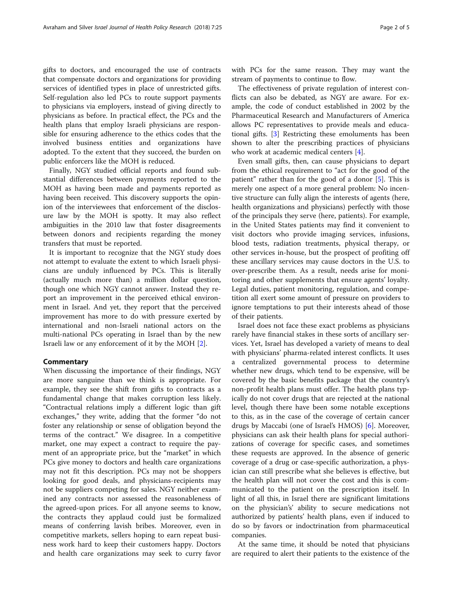gifts to doctors, and encouraged the use of contracts that compensate doctors and organizations for providing services of identified types in place of unrestricted gifts. Self-regulation also led PCs to route support payments to physicians via employers, instead of giving directly to physicians as before. In practical effect, the PCs and the health plans that employ Israeli physicians are responsible for ensuring adherence to the ethics codes that the involved business entities and organizations have adopted. To the extent that they succeed, the burden on public enforcers like the MOH is reduced.

Finally, NGY studied official reports and found substantial differences between payments reported to the MOH as having been made and payments reported as having been received. This discovery supports the opinion of the interviewees that enforcement of the disclosure law by the MOH is spotty. It may also reflect ambiguities in the 2010 law that foster disagreements between donors and recipients regarding the money transfers that must be reported.

It is important to recognize that the NGY study does not attempt to evaluate the extent to which Israeli physicians are unduly influenced by PCs. This is literally (actually much more than) a million dollar question, though one which NGY cannot answer. Instead they report an improvement in the perceived ethical environment in Israel. And yet, they report that the perceived improvement has more to do with pressure exerted by international and non-Israeli national actors on the multi-national PCs operating in Israel than by the new Israeli law or any enforcement of it by the MOH [\[2](#page-4-0)].

#### **Commentary**

When discussing the importance of their findings, NGY are more sanguine than we think is appropriate. For example, they see the shift from gifts to contracts as a fundamental change that makes corruption less likely. "Contractual relations imply a different logic than gift exchanges," they write, adding that the former "do not foster any relationship or sense of obligation beyond the terms of the contract." We disagree. In a competitive market, one may expect a contract to require the payment of an appropriate price, but the "market" in which PCs give money to doctors and health care organizations may not fit this description. PCs may not be shoppers looking for good deals, and physicians-recipients may not be suppliers competing for sales. NGY neither examined any contracts nor assessed the reasonableness of the agreed-upon prices. For all anyone seems to know, the contracts they applaud could just be formalized means of conferring lavish bribes. Moreover, even in competitive markets, sellers hoping to earn repeat business work hard to keep their customers happy. Doctors and health care organizations may seek to curry favor with PCs for the same reason. They may want the stream of payments to continue to flow.

The effectiveness of private regulation of interest conflicts can also be debated, as NGY are aware. For example, the code of conduct established in 2002 by the Pharmaceutical Research and Manufacturers of America allows PC representatives to provide meals and educational gifts. [\[3](#page-4-0)] Restricting these emoluments has been shown to alter the prescribing practices of physicians who work at academic medical centers [[4\]](#page-4-0).

Even small gifts, then, can cause physicians to depart from the ethical requirement to "act for the good of the patient" rather than for the good of a donor [[5\]](#page-4-0). This is merely one aspect of a more general problem: No incentive structure can fully align the interests of agents (here, health organizations and physicians) perfectly with those of the principals they serve (here, patients). For example, in the United States patients may find it convenient to visit doctors who provide imaging services, infusions, blood tests, radiation treatments, physical therapy, or other services in-house, but the prospect of profiting off these ancillary services may cause doctors in the U.S. to over-prescribe them. As a result, needs arise for monitoring and other supplements that ensure agents' loyalty. Legal duties, patient monitoring, regulation, and competition all exert some amount of pressure on providers to ignore temptations to put their interests ahead of those of their patients.

Israel does not face these exact problems as physicians rarely have financial stakes in these sorts of ancillary services. Yet, Israel has developed a variety of means to deal with physicians' pharma-related interest conflicts. It uses a centralized governmental process to determine whether new drugs, which tend to be expensive, will be covered by the basic benefits package that the country's non-profit health plans must offer. The health plans typically do not cover drugs that are rejected at the national level, though there have been some notable exceptions to this, as in the case of the coverage of certain cancer drugs by Maccabi (one of Israel's HMOS) [[6\]](#page-4-0). Moreover, physicians can ask their health plans for special authorizations of coverage for specific cases, and sometimes these requests are approved. In the absence of generic coverage of a drug or case-specific authorization, a physician can still prescribe what she believes is effective, but the health plan will not cover the cost and this is communicated to the patient on the prescription itself. In light of all this, in Israel there are significant limitations on the physician's' ability to secure medications not authorized by patients' health plans, even if induced to do so by favors or indoctrination from pharmaceutical companies.

At the same time, it should be noted that physicians are required to alert their patients to the existence of the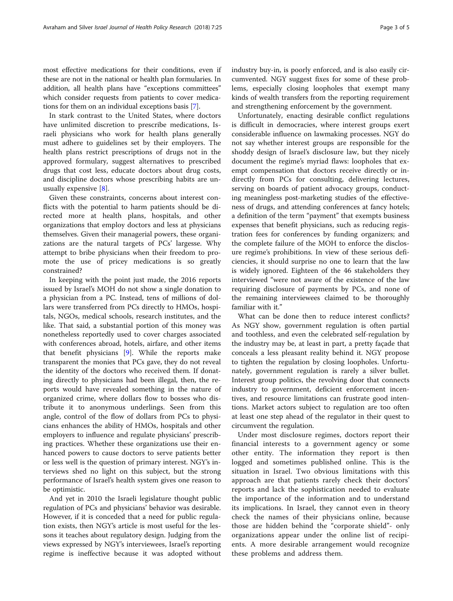most effective medications for their conditions, even if these are not in the national or health plan formularies. In addition, all health plans have "exceptions committees" which consider requests from patients to cover medications for them on an individual exceptions basis [[7](#page-4-0)].

In stark contrast to the United States, where doctors have unlimited discretion to prescribe medications, Israeli physicians who work for health plans generally must adhere to guidelines set by their employers. The health plans restrict prescriptions of drugs not in the approved formulary, suggest alternatives to prescribed drugs that cost less, educate doctors about drug costs, and discipline doctors whose prescribing habits are unusually expensive [[8](#page-4-0)].

Given these constraints, concerns about interest conflicts with the potential to harm patients should be directed more at health plans, hospitals, and other organizations that employ doctors and less at physicians themselves. Given their managerial powers, these organizations are the natural targets of PCs' largesse. Why attempt to bribe physicians when their freedom to promote the use of pricey medications is so greatly constrained?

In keeping with the point just made, the 2016 reports issued by Israel's MOH do not show a single donation to a physician from a PC. Instead, tens of millions of dollars were transferred from PCs directly to HMOs, hospitals, NGOs, medical schools, research institutes, and the like. That said, a substantial portion of this money was nonetheless reportedly used to cover charges associated with conferences abroad, hotels, airfare, and other items that benefit physicians [\[9](#page-4-0)]. While the reports make transparent the monies that PCs gave, they do not reveal the identity of the doctors who received them. If donating directly to physicians had been illegal, then, the reports would have revealed something in the nature of organized crime, where dollars flow to bosses who distribute it to anonymous underlings. Seen from this angle, control of the flow of dollars from PCs to physicians enhances the ability of HMOs, hospitals and other employers to influence and regulate physicians' prescribing practices. Whether these organizations use their enhanced powers to cause doctors to serve patients better or less well is the question of primary interest. NGY's interviews shed no light on this subject, but the strong performance of Israel's health system gives one reason to be optimistic.

And yet in 2010 the Israeli legislature thought public regulation of PCs and physicians' behavior was desirable. However, if it is conceded that a need for public regulation exists, then NGY's article is most useful for the lessons it teaches about regulatory design. Judging from the views expressed by NGY's interviewees, Israel's reporting regime is ineffective because it was adopted without industry buy-in, is poorly enforced, and is also easily circumvented. NGY suggest fixes for some of these problems, especially closing loopholes that exempt many kinds of wealth transfers from the reporting requirement and strengthening enforcement by the government.

Unfortunately, enacting desirable conflict regulations is difficult in democracies, where interest groups exert considerable influence on lawmaking processes. NGY do not say whether interest groups are responsible for the shoddy design of Israel's disclosure law, but they nicely document the regime's myriad flaws: loopholes that exempt compensation that doctors receive directly or indirectly from PCs for consulting, delivering lectures, serving on boards of patient advocacy groups, conducting meaningless post-marketing studies of the effectiveness of drugs, and attending conferences at fancy hotels; a definition of the term "payment" that exempts business expenses that benefit physicians, such as reducing registration fees for conferences by funding organizers; and the complete failure of the MOH to enforce the disclosure regime's prohibitions. In view of these serious deficiencies, it should surprise no one to learn that the law is widely ignored. Eighteen of the 46 stakeholders they interviewed "were not aware of the existence of the law requiring disclosure of payments by PCs, and none of the remaining interviewees claimed to be thoroughly familiar with it."

What can be done then to reduce interest conflicts? As NGY show, government regulation is often partial and toothless, and even the celebrated self-regulation by the industry may be, at least in part, a pretty façade that conceals a less pleasant reality behind it. NGY propose to tighten the regulation by closing loopholes. Unfortunately, government regulation is rarely a silver bullet. Interest group politics, the revolving door that connects industry to government, deficient enforcement incentives, and resource limitations can frustrate good intentions. Market actors subject to regulation are too often at least one step ahead of the regulator in their quest to circumvent the regulation.

Under most disclosure regimes, doctors report their financial interests to a government agency or some other entity. The information they report is then logged and sometimes published online. This is the situation in Israel. Two obvious limitations with this approach are that patients rarely check their doctors' reports and lack the sophistication needed to evaluate the importance of the information and to understand its implications. In Israel, they cannot even in theory check the names of their physicians online, because those are hidden behind the "corporate shield"- only organizations appear under the online list of recipients. A more desirable arrangement would recognize these problems and address them.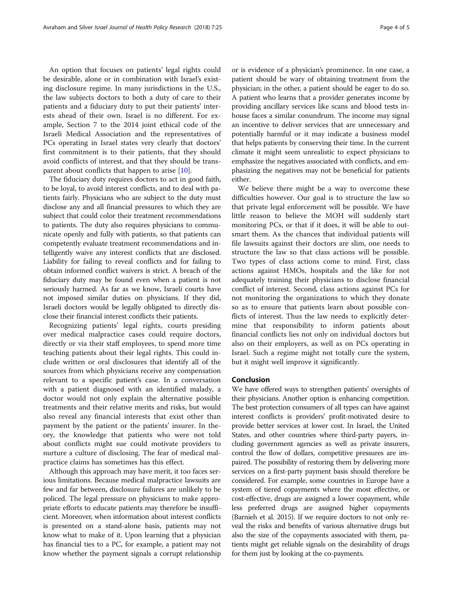An option that focuses on patients' legal rights could be desirable, alone or in combination with Israel's existing disclosure regime. In many jurisdictions in the U.S., the law subjects doctors to both a duty of care to their patients and a fiduciary duty to put their patients' interests ahead of their own. Israel is no different. For example, Section 7 to the 2014 joint ethical code of the Israeli Medical Association and the representatives of PCs operating in Israel states very clearly that doctors' first commitment is to their patients, that they should avoid conflicts of interest, and that they should be transparent about conflicts that happen to arise  $[10]$  $[10]$ .

The fiduciary duty requires doctors to act in good faith, to be loyal, to avoid interest conflicts, and to deal with patients fairly. Physicians who are subject to the duty must disclose any and all financial pressures to which they are subject that could color their treatment recommendations to patients. The duty also requires physicians to communicate openly and fully with patients, so that patients can competently evaluate treatment recommendations and intelligently waive any interest conflicts that are disclosed. Liability for failing to reveal conflicts and for failing to obtain informed conflict waivers is strict. A breach of the fiduciary duty may be found even when a patient is not seriously harmed. As far as we know, Israeli courts have not imposed similar duties on physicians. If they did, Israeli doctors would be legally obligated to directly disclose their financial interest conflicts their patients.

Recognizing patients' legal rights, courts presiding over medical malpractice cases could require doctors, directly or via their staff employees, to spend more time teaching patients about their legal rights. This could include written or oral disclosures that identify all of the sources from which physicians receive any compensation relevant to a specific patient's case. In a conversation with a patient diagnosed with an identified malady, a doctor would not only explain the alternative possible treatments and their relative merits and risks, but would also reveal any financial interests that exist other than payment by the patient or the patients' insurer. In theory, the knowledge that patients who were not told about conflicts might sue could motivate providers to nurture a culture of disclosing. The fear of medical malpractice claims has sometimes has this effect.

Although this approach may have merit, it too faces serious limitations. Because medical malpractice lawsuits are few and far between, disclosure failures are unlikely to be policed. The legal pressure on physicians to make appropriate efforts to educate patients may therefore be insufficient. Moreover, when information about interest conflicts is presented on a stand-alone basis, patients may not know what to make of it. Upon learning that a physician has financial ties to a PC, for example, a patient may not know whether the payment signals a corrupt relationship

or is evidence of a physician's prominence. In one case, a patient should be wary of obtaining treatment from the physician; in the other, a patient should be eager to do so. A patient who learns that a provider generates income by providing ancillary services like scans and blood tests inhouse faces a similar conundrum. The income may signal an incentive to deliver services that are unnecessary and potentially harmful or it may indicate a business model that helps patients by conserving their time. In the current climate it might seem unrealistic to expect physicians to emphasize the negatives associated with conflicts, and emphasizing the negatives may not be beneficial for patients either.

We believe there might be a way to overcome these difficulties however. Our goal is to structure the law so that private legal enforcement will be possible. We have little reason to believe the MOH will suddenly start monitoring PCs, or that if it does, it will be able to outsmart them. As the chances that individual patients will file lawsuits against their doctors are slim, one needs to structure the law so that class actions will be possible. Two types of class actions come to mind. First, class actions against HMOs, hospitals and the like for not adequately training their physicians to disclose financial conflict of interest. Second, class actions against PCs for not monitoring the organizations to which they donate so as to ensure that patients learn about possible conflicts of interest. Thus the law needs to explicitly determine that responsibility to inform patients about financial conflicts lies not only on individual doctors but also on their employers, as well as on PCs operating in Israel. Such a regime might not totally cure the system, but it might well improve it significantly.

#### Conclusion

We have offered ways to strengthen patients' oversights of their physicians. Another option is enhancing competition. The best protection consumers of all types can have against interest conflicts is providers' profit-motivated desire to provide better services at lower cost. In Israel, the United States, and other countries where third-party payers, including government agencies as well as private insurers, control the flow of dollars, competitive pressures are impaired. The possibility of restoring them by delivering more services on a first-party payment basis should therefore be considered. For example, some countries in Europe have a system of tiered copayments where the most effective, or cost-effective, drugs are assigned a lower copayment, while less preferred drugs are assigned higher copayments (Barnieh et al. 2015). If we require doctors to not only reveal the risks and benefits of various alternative drugs but also the size of the copayments associated with them, patients might get reliable signals on the desirability of drugs for them just by looking at the co-payments.